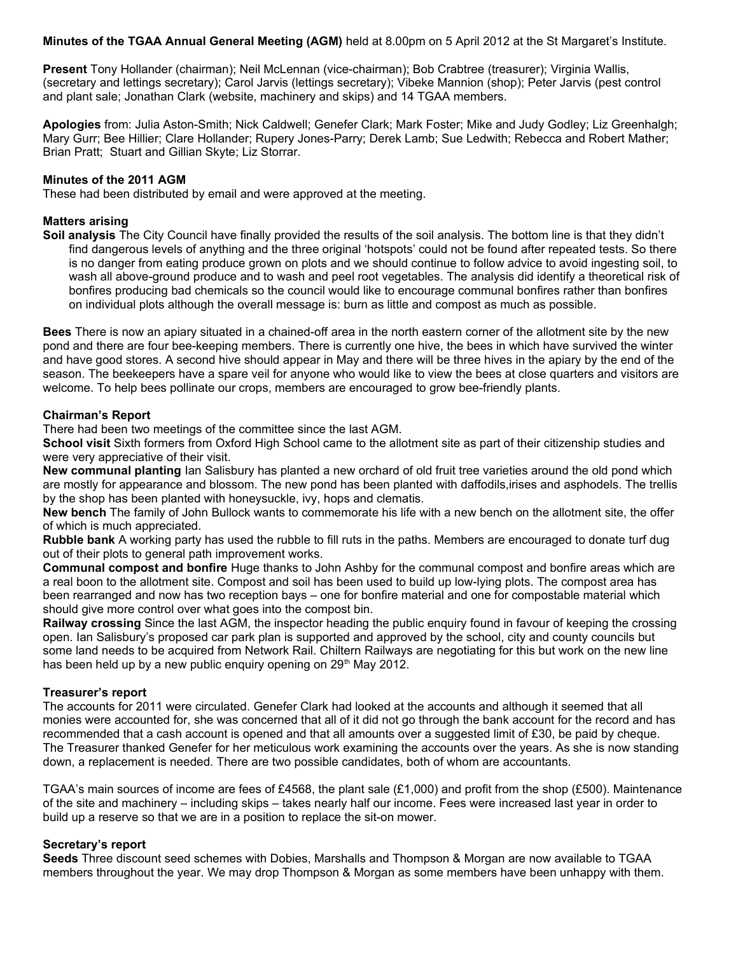**Minutes of the TGAA Annual General Meeting (AGM)** held at 8.00pm on 5 April 2012 at the St Margaret's Institute.

**Present** Tony Hollander (chairman); Neil McLennan (vice-chairman); Bob Crabtree (treasurer); Virginia Wallis, (secretary and lettings secretary); Carol Jarvis (lettings secretary); Vibeke Mannion (shop); Peter Jarvis (pest control and plant sale; Jonathan Clark (website, machinery and skips) and 14 TGAA members.

**Apologies** from: Julia Aston-Smith; Nick Caldwell; Genefer Clark; Mark Foster; Mike and Judy Godley; Liz Greenhalgh; Mary Gurr; Bee Hillier; Clare Hollander; Rupery Jones-Parry; Derek Lamb; Sue Ledwith; Rebecca and Robert Mather; Brian Pratt; Stuart and Gillian Skyte; Liz Storrar.

#### **Minutes of the 2011 AGM**

These had been distributed by email and were approved at the meeting.

### **Matters arising**

**Soil analysis** The City Council have finally provided the results of the soil analysis. The bottom line is that they didn't find dangerous levels of anything and the three original 'hotspots' could not be found after repeated tests. So there is no danger from eating produce grown on plots and we should continue to follow advice to avoid ingesting soil, to wash all above-ground produce and to wash and peel root vegetables. The analysis did identify a theoretical risk of bonfires producing bad chemicals so the council would like to encourage communal bonfires rather than bonfires on individual plots although the overall message is: burn as little and compost as much as possible.

**Bees** There is now an apiary situated in a chained-off area in the north eastern corner of the allotment site by the new pond and there are four bee-keeping members. There is currently one hive, the bees in which have survived the winter and have good stores. A second hive should appear in May and there will be three hives in the apiary by the end of the season. The beekeepers have a spare veil for anyone who would like to view the bees at close quarters and visitors are welcome. To help bees pollinate our crops, members are encouraged to grow bee-friendly plants.

#### **Chairman's Report**

There had been two meetings of the committee since the last AGM.

**School visit** Sixth formers from Oxford High School came to the allotment site as part of their citizenship studies and were very appreciative of their visit.

**New communal planting** Ian Salisbury has planted a new orchard of old fruit tree varieties around the old pond which are mostly for appearance and blossom. The new pond has been planted with daffodils, irises and asphodels. The trellis by the shop has been planted with honeysuckle, ivy, hops and clematis.

**New bench** The family of John Bullock wants to commemorate his life with a new bench on the allotment site, the offer of which is much appreciated.

**Rubble bank** A working party has used the rubble to fill ruts in the paths. Members are encouraged to donate turf dug out of their plots to general path improvement works.

**Communal compost and bonfire** Huge thanks to John Ashby for the communal compost and bonfire areas which are a real boon to the allotment site. Compost and soil has been used to build up low-lying plots. The compost area has been rearranged and now has two reception bays – one for bonfire material and one for compostable material which should give more control over what goes into the compost bin.

**Railway crossing** Since the last AGM, the inspector heading the public enquiry found in favour of keeping the crossing open. Ian Salisbury's proposed car park plan is supported and approved by the school, city and county councils but some land needs to be acquired from Network Rail. Chiltern Railways are negotiating for this but work on the new line has been held up by a new public enquiry opening on  $29<sup>th</sup>$  May 2012.

### **Treasurer's report**

The accounts for 2011 were circulated. Genefer Clark had looked at the accounts and although it seemed that all monies were accounted for, she was concerned that all of it did not go through the bank account for the record and has recommended that a cash account is opened and that all amounts over a suggested limit of £30, be paid by cheque. The Treasurer thanked Genefer for her meticulous work examining the accounts over the years. As she is now standing down, a replacement is needed. There are two possible candidates, both of whom are accountants.

TGAA's main sources of income are fees of £4568, the plant sale (£1,000) and profit from the shop (£500). Maintenance of the site and machinery – including skips – takes nearly half our income. Fees were increased last year in order to build up a reserve so that we are in a position to replace the sit-on mower.

### **Secretary's report**

**Seeds** Three discount seed schemes with Dobies, Marshalls and Thompson & Morgan are now available to TGAA members throughout the year. We may drop Thompson & Morgan as some members have been unhappy with them.